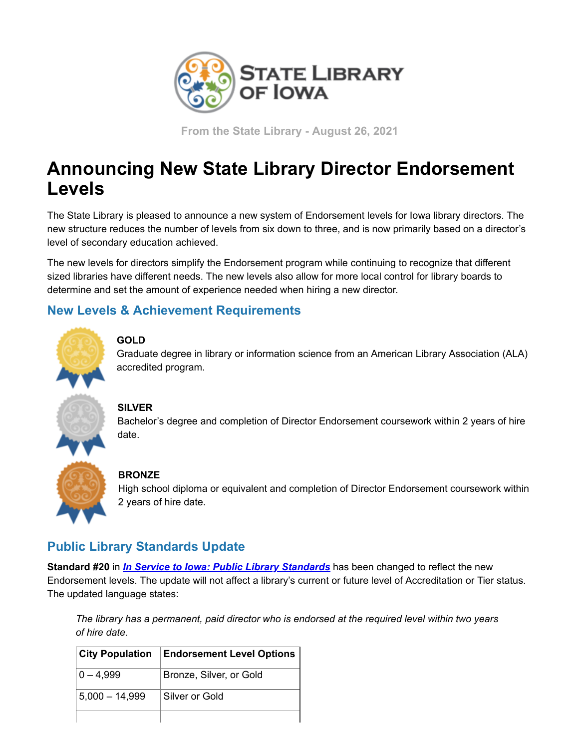

**From the State Library - August 26, 2021**

# **Announcing New State Library Director Endorsement Levels**

The State Library is pleased to announce a new system of Endorsement levels for Iowa library directors. The new structure reduces the number of levels from six down to three, and is now primarily based on a director's level of secondary education achieved.

The new levels for directors simplify the Endorsement program while continuing to recognize that different sized libraries have different needs. The new levels also allow for more local control for library boards to determine and set the amount of experience needed when hiring a new director.

### **New Levels & Achievement Requirements**



#### **GOLD**

Graduate degree in library or information science from an American Library Association (ALA) accredited program.

#### **SILVER**

Bachelor's degree and completion of Director Endorsement coursework within 2 years of hire date.

#### **BRONZE**

High school diploma or equivalent and completion of Director Endorsement coursework within 2 years of hire date.

## **Public Library Standards Update**

**Standard #20** in *[In Service to Iowa: Public Library Standards](https://www.statelibraryofiowa.gov/index.php/libraries/search/accred-stand?utm_medium=email&utm_source=govdelivery)* has been changed to reflect the new Endorsement levels. The update will not affect a library's current or future level of Accreditation or Tier status. The updated language states:

*The library has a permanent, paid director who is endorsed at the required level within two years of hire date.*

| <b>City Population</b> | <b>Endorsement Level Options</b> |
|------------------------|----------------------------------|
| 0 – 4.999              | Bronze, Silver, or Gold          |
| 5,000 – 14,999         | Silver or Gold                   |
|                        |                                  |